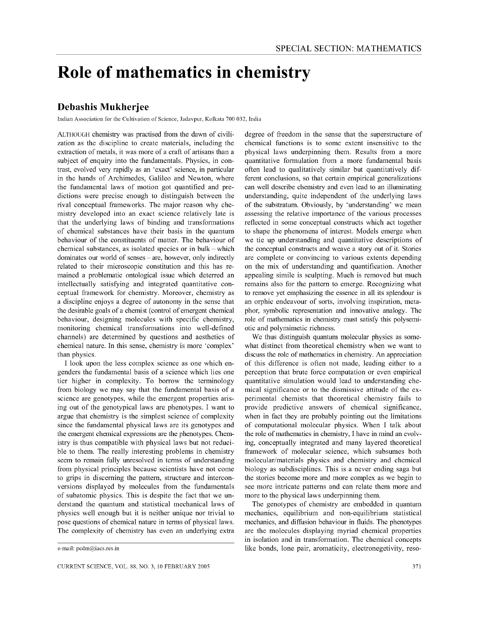## **Role of mathematics in chemistry**

## **Debashis Mukherjee**

Indian Association for the Cultivation of Science, Jadavpur, Kolkata 700 032, India

ALTHOUGH chemistry was practised from the dawn of civilization as the discipline to create materials, including the extraction of metals, it was more of a craft of artisans than a subject of enquiry into the fundamentals, Physics, in contrast, evolved very rapidly as an 'exact' science, in particular in the hands of Archimedes, Galileo and Newton, where the fundamental laws of motion got quantified and predictions were precise enough to distinguish between the rival conceptual frameworks, The major reason why chemistry developed into an exact science relatively late is that the underlying laws of binding and transformations of chemical substances have their basis in the quantum behaviour of the constituents of matter, The behaviour of chemical substances, as isolated species or in bulk  $-$  which dominates our world of senses – are, however, only indirectly related to their microscopic constitution and this has remained a problematic ontological issue which deterred an intellectually satisfying and integrated quantitative conceptual framework for chemistry, Moreover, chemistry as a discipline enjoys a degree of autonomy in the sense that the desirable goals of a chemist (control of emergent chemical behaviour, designing molecules with specific chemistry, monitoring chemical transformations into well-defined channels) are determined by questions and aesthetics of chemical nature, In this sense, chemistry is more 'complex' than physics,

I look upon the less complex science as one which engenders the fundamental basis of a science which lies one tier higher in complexity, To borrow the terminology from biology we may say that the fundamental basis of a science are genotypes, while the emergent properties arising out of the genotypical laws are phenotypes, I want to argue that chemistry is the simplest science of complexity since the fundamental physical laws are its genotypes and the emergent chemical expressions are the phenotypes, Chemistry is thus compatible with physical laws but not reducible to them, The really interesting problems in chemistry seem to remain fully unresolved in terms of understanding from physical principles because scientists have not come to grips in discerning the pattern, structure and interconversions displayed by molecules from the fundamentals of subatomic physics, This is despite the fact that we understand the quantum and statistical mechanical laws of physics well enough but it is neither unique nor trivial to pose questions of chemical nature in terms of physical laws, The complexity of chemistry has even an underlying extra

degree of freedom in the sense that the superstructure of chemical functions is to some extent insensitive to the physical laws underpinning them. Results from a more quantitative formulation from a more fundamental basis often lead to qualitatively similar but quantitatively different conclusions, so that certain empirical generalizations can well describe chemistry and even lead to an illuminating understanding, quite independent of the underlying laws of the substratum. Obviously, by 'understanding' we mean assessing the relative importance of the various processes reflected in some conceptual constructs which act together to shape the phenomena of interest. Models emerge when we tie up understanding and quantitative descriptions of the conceptual constructs and weave a story out of it. Stories are complete or convincing to various extents depending on the mix of understanding and quantification. Another appealing simile is sculpting. Much is removed but much remains also for the pattern to emerge. Recognizing what to remove yet emphasizing the essence in all its splendour is an orphic endeavour of sorts, involving inspiration, metaphor, symbolic representation and innovative analogy. The role of mathematics in chemistry must satisfy this polysemiotic and polymimetic richness.

We thus distinguish quantum molecular physics as somewhat distinct from theoretical chemistry when we want to discuss the role of mathematics in chemistry. An appreciation of this difference is often not made, leading either to a perception that brute force computation or even empirical quantitative simulation would lead to understanding chemical significance or to the dismissive attitude of the experimental chemists that theoretical chemistry fails to provide predictive answers of chemical significance, when in fact they are probably pointing out the limitations of computational molecular physics. When I talk about the role of mathematics in chemistry, I have in mind an evolving, conceptually integrated and many layered theoretical framework of molecular science, which subsumes both molecular/materials physics and chemistry and chemical biology as subdisciplines. This is a never ending saga but the stories become more and more complex as we begin to see more intricate patterns and can relate them more and more to the physical laws underpinning them.

The genotypes of chemistry are embedded in quantum mechanics, equilibrium and non-equilibrium statistical mechanics, and diffusion behaviour in fluids. The phenotypes are the molecules displaying myriad chemical properties in isolation and in transformation. The chemical concepts like bonds, lone pair, aromaticity, electronegetivity, reso-

e-mail: pcdm@iacs.res.in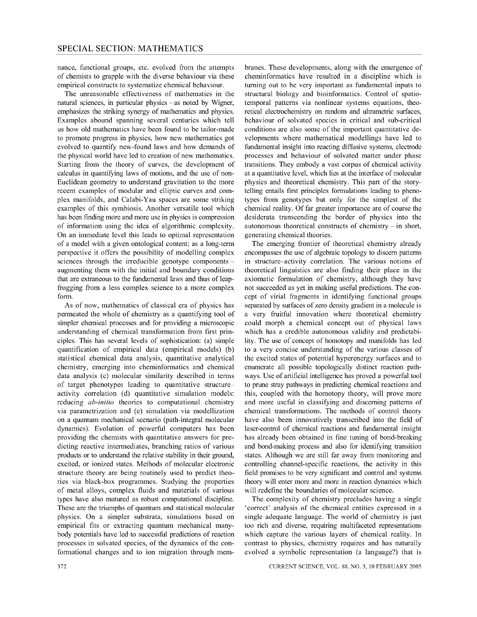nance, functional groups, etc. evolved from the attempts of chemists to grapple with the diverse behaviour via these empirical constructs to systematize chemical behaviour.

The unreasonable effectiveness of mathematics in the natural sciences, in particular physics – as noted by Wigner, emphasizes the striking synergy of mathematics and physics. Examples abound spanning several centuries which tell us how old mathematics have been found to be tailor-made to promote progress in physics, how new mathematics got evolved to quantify new-found laws and how demands of the physical world have led to creation of new mathematics. Starting from the theory of curves, the development of calculus in quantifying laws of motions, and the use of non-Euclidean geometry to understand gravitation to the more recent examples of modular and elliptic curves and complex manifolds, and Calabi-Yau spaces are some striking examples of this symbiosis. Another versatile tool which has been finding more and more use in physics is compression of information using the idea of algorithmic complexity. On an immediate level this leads to optimal representation of a model with a given ontological content; as a long-term perspective it offers the possibility of modelling complex sciences through the irreducible genotype components augmenting them with the initial and boundary conditions that are extraneous to the fundamental laws and thus of leapfrogging from a less complex science to a more complex form.

As of now, mathematics of classical era of physics has permeated the whole of chemistry as a quantifying tool of simpler chemical processes and for providing a microscopic understanding of chemical transformation from first principles. This has several levels of sophistication: (a) simple quantification of empirical data (empirical models) (b) statistical chemical data analysis, quantitative analytical chemistry, emerging into cheminformatics and chemical data analysis (c) molecular similarity described in terms of target phenotypes leading to quantitative structureactivity correlation (d) quantitative simulation models: reducing *ab-initio* theories to computational chemistry via parametrization and (e) simulation via modellization on a quantum mechanical scenario (path-integral molecular dynamics). Evolution of powerful computers has been providing the chemists with quantitative answers for predicting reactive intermediates, branching ratios of various products or to understand the relative stability in their ground, excited, or ionized states. Methods of molecular electronic structure theory are being routinely used to predict theories via black-box programmes. Studying the properties of metal alloys, complex fluids and materials of various types have also matured as robust computational discipline. These are the triumphs of quantum and statistical molecular physics. On a simpler substrata, simulations based on empirical fits or extracting quantum mechanical manybody potentials have led to successful predictions of reaction processes in solvated species, of the dynamics of the conformational changes and to ion migration through membranes. These developments, along with the emergence of cheminformatics have resulted in a discipline which is turning out to be very important as fundamental inputs to structural biology and bioinformatics. Control of spatiotemporal patterns via nonlinear systems equations, theoretical electrochemistry on random and ultrametric surfaces, behaviour of solvated species in critical and sub-critical conditions are also some of the important quantitative developments where mathematical modellings have led to fundamental insight into reacting diffusive systems, electrode processes and behaviour of solvated matter under phase transitions. They embody a vast corpus of chemical activity at a quantitative level, which lies at the interface of molecular physics and theoretical chemistry. This part of the storytelling entails first principles formulations leading to phenotypes from genotypes but only for the simplest of the chemical reality. Of far greater importance are of course the desiderata transcending the border of physics into the autonomous theoretical constructs of chemistry - in short, generating chemical theories.

The emerging frontier of theoretical chemistry already encompasses the use of algebraic topology to discern patterns in structure-activity correlation. The various notions of theoretical linguistics are also finding their place in the axiomatic formulation of chemistry, although they have not succeeded as yet in making useful predictions. The concept of virial fragments in identifying functional groups separated by surfaces of zero density gradient in a molecule is a very fruitful innovation where theoretical chemistry could morph a chemical concept out of physical laws which has a credible autonomous validity and predictability. The use of concept of homotopy and manifolds has led to a very concise understanding of the various classes of the excited states of potential hyperenergy surfaces and to enumerate all possible topologically distinct reaction pathways. Use of artificial intelligence has proved a powerful tool to prune stray pathways in predicting chemical reactions and this, coupled with the homotopy theory, will prove more and more useful in classifying and discerning patterns of chemical transformations. The methods of control theory have also been innovatively transcribed into the field of laser-control of chemical reactions and fundamental insight has already been obtained in fine tuning of bond-breaking and bond-making process and also for identifying transition states. Although we are still far away from monitoring and controlling channel-specific reactions, the activity in this field promises to be very significant and control and systems theory will enter more and more in reaction dynamics which will redefine the boundaries of molecular science.

The complexity of chemistry precludes having a single 'correct' analysis of the chemical entities expressed in a single adequate language. The world of chemistry is just too rich and diverse, requiring multifaceted representations which capture the various layers of chemical reality. In contrast to physics, chemistry requires and has naturally evolved a symbolic representation (a language?) that is